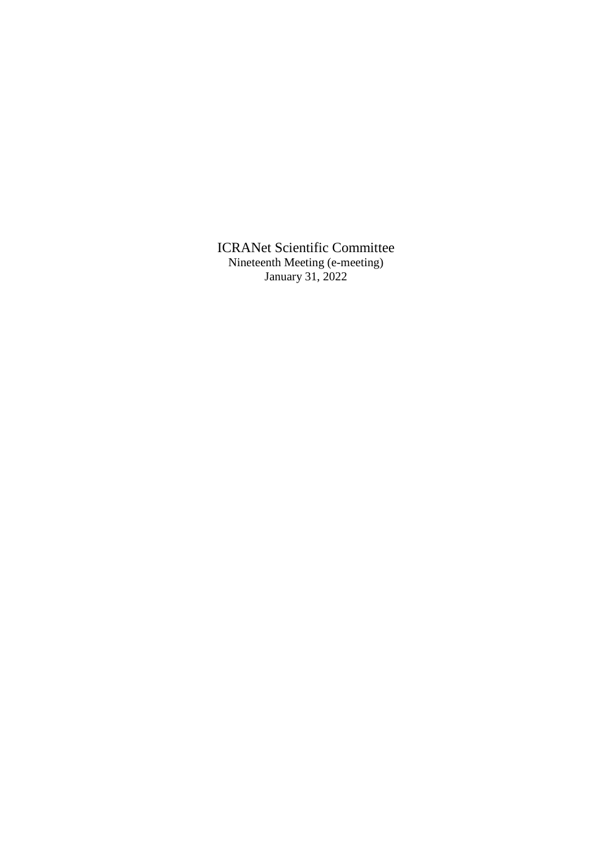ICRANet Scientific Committee Nineteenth Meeting (e-meeting) January 31, 2022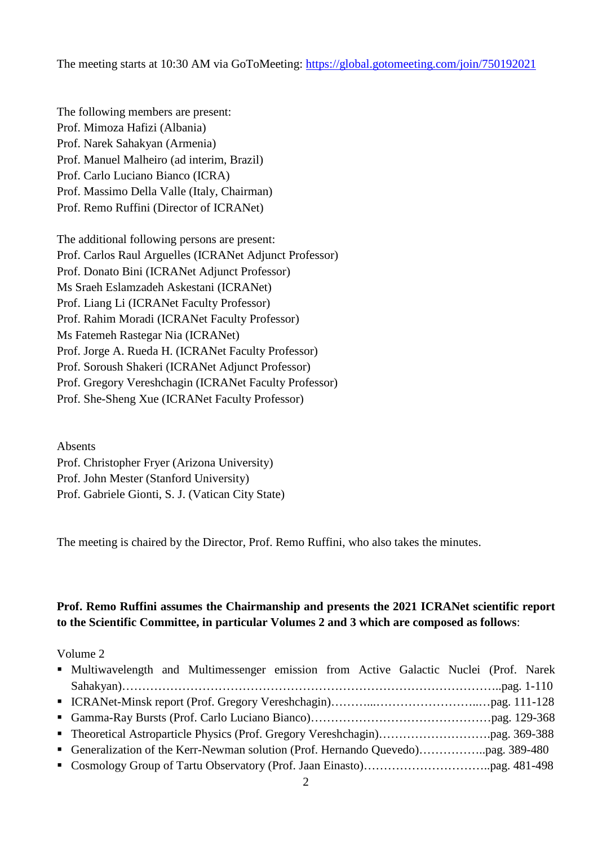The meeting starts at 10:30 AM via GoToMeeting:<https://global.gotomeeting.com/join/750192021>

The following members are present: Prof. Mimoza Hafizi (Albania) Prof. Narek Sahakyan (Armenia) Prof. Manuel Malheiro (ad interim, Brazil) Prof. Carlo Luciano Bianco (ICRA) Prof. Massimo Della Valle (Italy, Chairman) Prof. Remo Ruffini (Director of ICRANet)

The additional following persons are present: Prof. Carlos Raul Arguelles (ICRANet Adjunct Professor) Prof. Donato Bini (ICRANet Adjunct Professor) Ms Sraeh Eslamzadeh Askestani (ICRANet) Prof. Liang Li (ICRANet Faculty Professor) Prof. Rahim Moradi (ICRANet Faculty Professor) Ms Fatemeh Rastegar Nia (ICRANet) Prof. Jorge A. Rueda H. (ICRANet Faculty Professor) Prof. Soroush Shakeri (ICRANet Adjunct Professor) Prof. Gregory Vereshchagin (ICRANet Faculty Professor) Prof. She-Sheng Xue (ICRANet Faculty Professor)

Absents Prof. Christopher Fryer (Arizona University) Prof. John Mester (Stanford University) Prof. Gabriele Gionti, S. J. (Vatican City State)

The meeting is chaired by the Director, Prof. Remo Ruffini, who also takes the minutes.

## **Prof. Remo Ruffini assumes the Chairmanship and presents the 2021 ICRANet scientific report to the Scientific Committee, in particular Volumes 2 and 3 which are composed as follows**:

Volume 2

| • Multiwavelength and Multimessenger emission from Active Galactic Nuclei (Prof. Narek |  |
|----------------------------------------------------------------------------------------|--|
|                                                                                        |  |
|                                                                                        |  |
|                                                                                        |  |
|                                                                                        |  |
|                                                                                        |  |
|                                                                                        |  |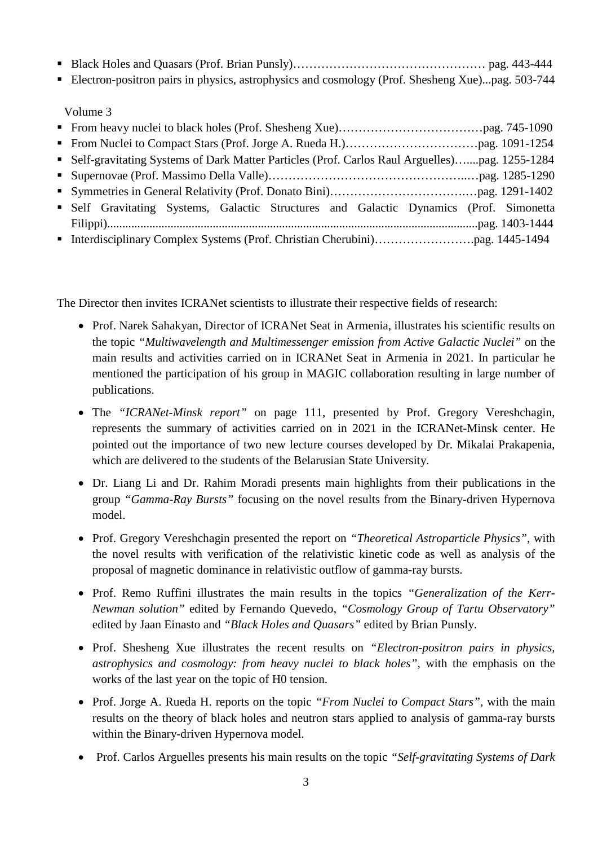- Black Holes and Quasars (Prof. Brian Punsly)……………………………………………… pag. 443-444
- Electron-positron pairs in physics, astrophysics and cosmology (Prof. Shesheng Xue)...pag. 503-744

Volume 3

| • Self-gravitating Systems of Dark Matter Particles (Prof. Carlos Raul Arguelles)pag. 1255-1284 |  |
|-------------------------------------------------------------------------------------------------|--|
|                                                                                                 |  |
|                                                                                                 |  |
| • Self Gravitating Systems, Galactic Structures and Galactic Dynamics (Prof. Simonetta          |  |
|                                                                                                 |  |
|                                                                                                 |  |

The Director then invites ICRANet scientists to illustrate their respective fields of research:

- Prof. Narek Sahakyan, Director of ICRANet Seat in Armenia, illustrates his scientific results on the topic *"Multiwavelength and Multimessenger emission from Active Galactic Nuclei"* on the main results and activities carried on in ICRANet Seat in Armenia in 2021. In particular he mentioned the participation of his group in MAGIC collaboration resulting in large number of publications.
- The *"ICRANet-Minsk report"* on page 111, presented by Prof. Gregory Vereshchagin, represents the summary of activities carried on in 2021 in the ICRANet-Minsk center. He pointed out the importance of two new lecture courses developed by Dr. Mikalai Prakapenia, which are delivered to the students of the Belarusian State University.
- Dr. Liang Li and Dr. Rahim Moradi presents main highlights from their publications in the group *"Gamma-Ray Bursts"* focusing on the novel results from the Binary-driven Hypernova model.
- Prof. Gregory Vereshchagin presented the report on *"Theoretical Astroparticle Physics"*, with the novel results with verification of the relativistic kinetic code as well as analysis of the proposal of magnetic dominance in relativistic outflow of gamma-ray bursts.
- Prof. Remo Ruffini illustrates the main results in the topics *"Generalization of the Kerr-Newman solution"* edited by Fernando Quevedo, *"Cosmology Group of Tartu Observatory"* edited by Jaan Einasto and *"Black Holes and Quasars"* edited by Brian Punsly.
- Prof. Shesheng Xue illustrates the recent results on *"Electron-positron pairs in physics, astrophysics and cosmology: from heavy nuclei to black holes"*, with the emphasis on the works of the last year on the topic of H0 tension.
- Prof. Jorge A. Rueda H. reports on the topic *"From Nuclei to Compact Stars",* with the main results on the theory of black holes and neutron stars applied to analysis of gamma-ray bursts within the Binary-driven Hypernova model.
- Prof. Carlos Arguelles presents his main results on the topic *"Self-gravitating Systems of Dark*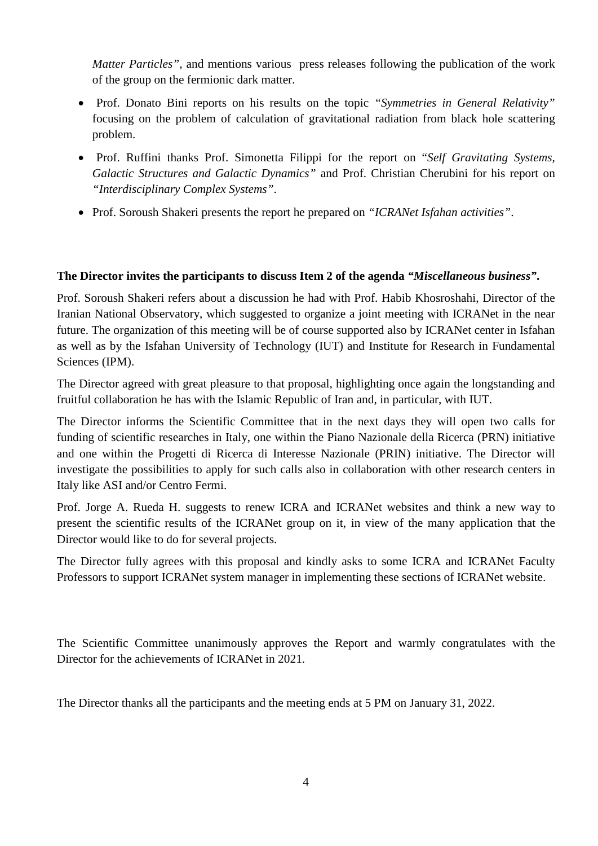*Matter Particles"*, and mentions various press releases following the publication of the work of the group on the fermionic dark matter.

- Prof. Donato Bini reports on his results on the topic *"Symmetries in General Relativity"* focusing on the problem of calculation of gravitational radiation from black hole scattering problem.
- Prof. Ruffini thanks Prof. Simonetta Filippi for the report on "*Self Gravitating Systems, Galactic Structures and Galactic Dynamics"* and Prof. Christian Cherubini for his report on *"Interdisciplinary Complex Systems"*.
- Prof. Soroush Shakeri presents the report he prepared on *"ICRANet Isfahan activities"*.

## **The Director invites the participants to discuss Item 2 of the agenda** *"Miscellaneous business"***.**

Prof. Soroush Shakeri refers about a discussion he had with Prof. Habib Khosroshahi, Director of the Iranian National Observatory, which suggested to organize a joint meeting with ICRANet in the near future. The organization of this meeting will be of course supported also by ICRANet center in Isfahan as well as by the Isfahan University of Technology (IUT) and Institute for Research in Fundamental Sciences (IPM).

The Director agreed with great pleasure to that proposal, highlighting once again the longstanding and fruitful collaboration he has with the Islamic Republic of Iran and, in particular, with IUT.

The Director informs the Scientific Committee that in the next days they will open two calls for funding of scientific researches in Italy, one within the Piano Nazionale della Ricerca (PRN) initiative and one within the Progetti di Ricerca di Interesse Nazionale (PRIN) initiative. The Director will investigate the possibilities to apply for such calls also in collaboration with other research centers in Italy like ASI and/or Centro Fermi.

Prof. Jorge A. Rueda H. suggests to renew ICRA and ICRANet websites and think a new way to present the scientific results of the ICRANet group on it, in view of the many application that the Director would like to do for several projects.

The Director fully agrees with this proposal and kindly asks to some ICRA and ICRANet Faculty Professors to support ICRANet system manager in implementing these sections of ICRANet website.

The Scientific Committee unanimously approves the Report and warmly congratulates with the Director for the achievements of ICRANet in 2021.

The Director thanks all the participants and the meeting ends at 5 PM on January 31, 2022.